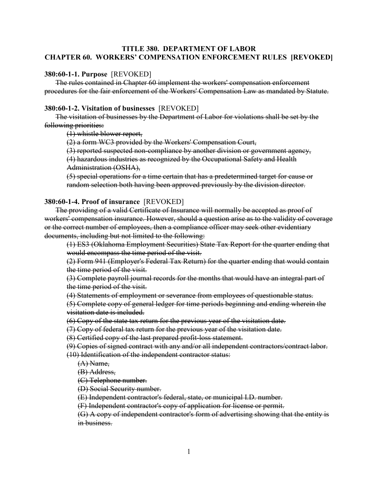# **TITLE 380. DEPARTMENT OF LABOR CHAPTER 60. WORKERS' COMPENSATION ENFORCEMENT RULES [REVOKED]**

#### **380:60-1-1. Purpose** [REVOKED]

The rules contained in Chapter 60 implement the workers' compensation enforcement procedures for the fair enforcement of the Workers' Compensation Law as mandated by Statute.

# **380:60-1-2. Visitation of businesses** [REVOKED]

The visitation of businesses by the Department of Labor for violations shall be set by the following priorities:

(1) whistle blower report,

(2) a form WC3 provided by the Workers' Compensation Court,

(3) reported suspected non-compliance by another division or government agency,

(4) hazardous industries as recognized by the Occupational Safety and Health Administration (OSHA),

(5) special operations for a time certain that has a predetermined target for cause or random selection both having been approved previously by the division director.

#### **380:60-1-4. Proof of insurance** [REVOKED]

The providing of a valid Certificate of Insurance will normally be accepted as proof of workers' compensation insurance. However, should a question arise as to the validity of coverage or the correct number of employees, then a compliance officer may seek other evidentiary documents, including but not limited to the following:

(1) ES3 (Oklahoma Employment Securities) State Tax Report for the quarter ending that would encompass the time period of the visit.

(2) Form 941 (Employer's Federal Tax Return) for the quarter ending that would contain the time period of the visit.

(3) Complete payroll journal records for the months that would have an integral part of the time period of the visit.

(4) Statements of employment or severance from employees of questionable status.

(5) Complete copy of general ledger for time periods beginning and ending wherein the visitation date is included.

(6) Copy of the state tax return for the previous year of the visitation date.

(7) Copy of federal tax return for the previous year of the visitation date.

(8) Certified copy of the last prepared profit-loss statement.

(9) Copies of signed contract with any and/or all independent contractors/contract labor.

(10) Identification of the independent contractor status:

(A) Name,

(B) Address,

(C) Telephone number.

(D) Social Security number.

(E) Independent contractor's federal, state, or municipal I.D. number.

(F) Independent contractor's copy of application for license or permit.

(G) A copy of independent contractor's form of advertising showing that the entity is in business.